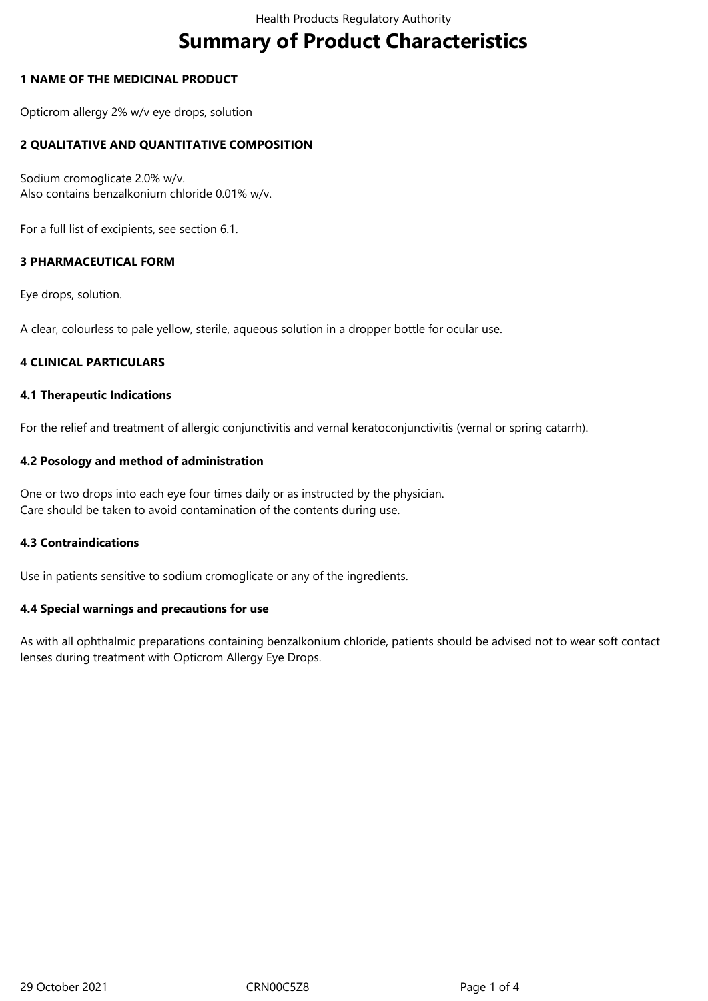# **Summary of Product Characteristics**

## **1 NAME OF THE MEDICINAL PRODUCT**

Opticrom allergy 2% w/v eye drops, solution

# **2 QUALITATIVE AND QUANTITATIVE COMPOSITION**

Sodium cromoglicate 2.0% w/v. Also contains benzalkonium chloride 0.01% w/v.

For a full list of excipients, see section 6.1.

## **3 PHARMACEUTICAL FORM**

Eye drops, solution.

A clear, colourless to pale yellow, sterile, aqueous solution in a dropper bottle for ocular use.

## **4 CLINICAL PARTICULARS**

#### **4.1 Therapeutic Indications**

For the relief and treatment of allergic conjunctivitis and vernal keratoconjunctivitis (vernal or spring catarrh).

## **4.2 Posology and method of administration**

One or two drops into each eye four times daily or as instructed by the physician. Care should be taken to avoid contamination of the contents during use.

## **4.3 Contraindications**

Use in patients sensitive to sodium cromoglicate or any of the ingredients.

## **4.4 Special warnings and precautions for use**

As with all ophthalmic preparations containing benzalkonium chloride, patients should be advised not to wear soft contact lenses during treatment with Opticrom Allergy Eye Drops.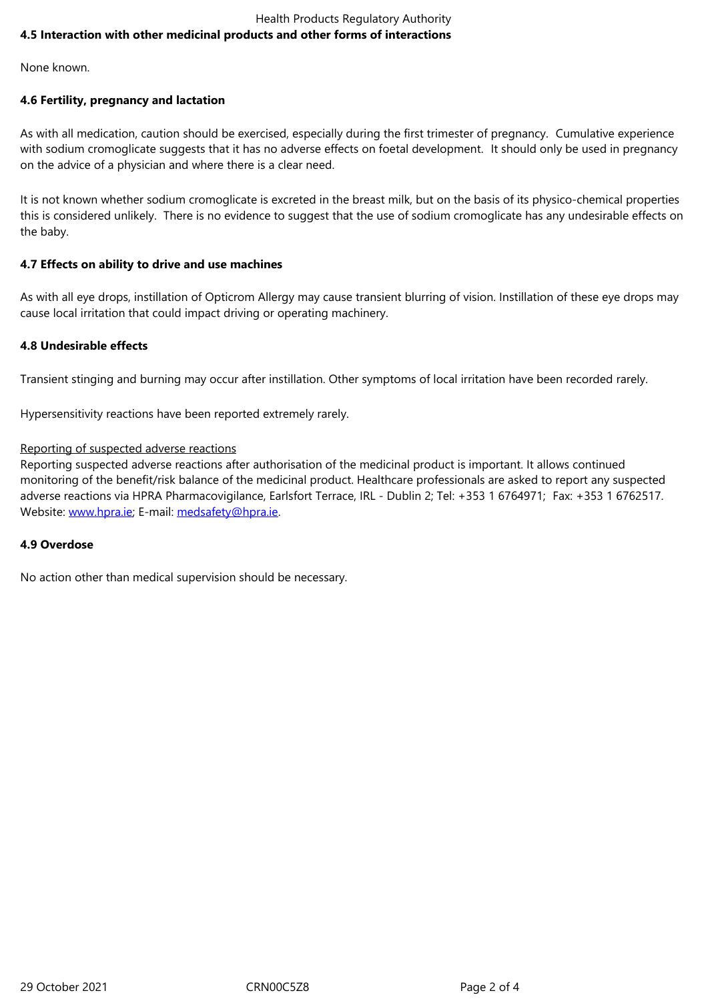None known.

#### **4.6 Fertility, pregnancy and lactation**

As with all medication, caution should be exercised, especially during the first trimester of pregnancy. Cumulative experience with sodium cromoglicate suggests that it has no adverse effects on foetal development. It should only be used in pregnancy on the advice of a physician and where there is a clear need.

It is not known whether sodium cromoglicate is excreted in the breast milk, but on the basis of its physico-chemical properties this is considered unlikely. There is no evidence to suggest that the use of sodium cromoglicate has any undesirable effects on the baby.

## **4.7 Effects on ability to drive and use machines**

As with all eye drops, instillation of Opticrom Allergy may cause transient blurring of vision. Instillation of these eye drops may cause local irritation that could impact driving or operating machinery.

#### **4.8 Undesirable effects**

Transient stinging and burning may occur after instillation. Other symptoms of local irritation have been recorded rarely.

Hypersensitivity reactions have been reported extremely rarely.

#### Reporting of suspected adverse reactions

Reporting suspected adverse reactions after authorisation of the medicinal product is important. It allows continued monitoring of the benefit/risk balance of the medicinal product. Healthcare professionals are asked to report any suspected adverse reactions via HPRA Pharmacovigilance, Earlsfort Terrace, IRL - Dublin 2; Tel: +353 1 6764971; Fax: +353 1 6762517. Website: www.hpra.ie; E-mail: medsafety@hpra.ie.

#### **4.9 Overdose**

No actio[n other than m](http://www.hpra.ie/)edical [supervision should b](mailto:medsafety@hpra.ie)e necessary.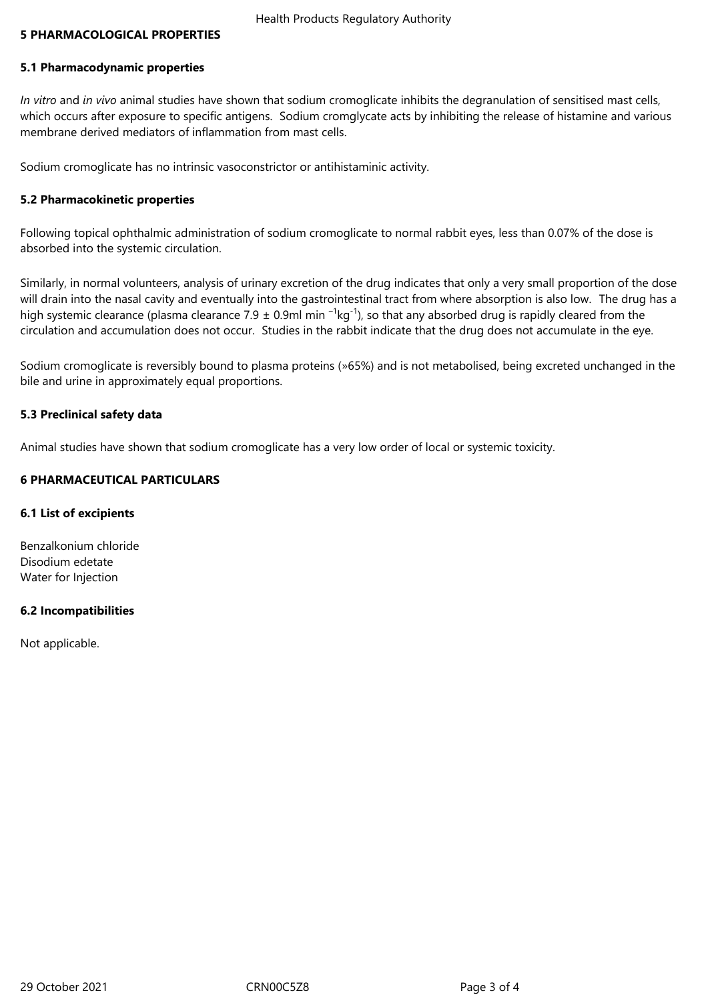## **5 PHARMACOLOGICAL PROPERTIES**

## **5.1 Pharmacodynamic properties**

*In vitro* and *in vivo* animal studies have shown that sodium cromoglicate inhibits the degranulation of sensitised mast cells, which occurs after exposure to specific antigens. Sodium cromglycate acts by inhibiting the release of histamine and various membrane derived mediators of inflammation from mast cells.

Sodium cromoglicate has no intrinsic vasoconstrictor or antihistaminic activity.

#### **5.2 Pharmacokinetic properties**

Following topical ophthalmic administration of sodium cromoglicate to normal rabbit eyes, less than 0.07% of the dose is absorbed into the systemic circulation.

Similarly, in normal volunteers, analysis of urinary excretion of the drug indicates that only a very small proportion of the dose will drain into the nasal cavity and eventually into the gastrointestinal tract from where absorption is also low. The drug has a high systemic clearance (plasma clearance 7.9  $\pm$  0.9ml min  $^{-1}$ kg<sup>-1</sup>), so that any absorbed drug is rapidly cleared from the circulation and accumulation does not occur. Studies in the rabbit indicate that the drug does not accumulate in the eye.

Sodium cromoglicate is reversibly bound to plasma proteins (»65%) and is not metabolised, being excreted unchanged in the bile and urine in approximately equal proportions.

#### **5.3 Preclinical safety data**

Animal studies have shown that sodium cromoglicate has a very low order of local or systemic toxicity.

#### **6 PHARMACEUTICAL PARTICULARS**

#### **6.1 List of excipients**

Benzalkonium chloride Disodium edetate Water for Injection

## **6.2 Incompatibilities**

Not applicable.